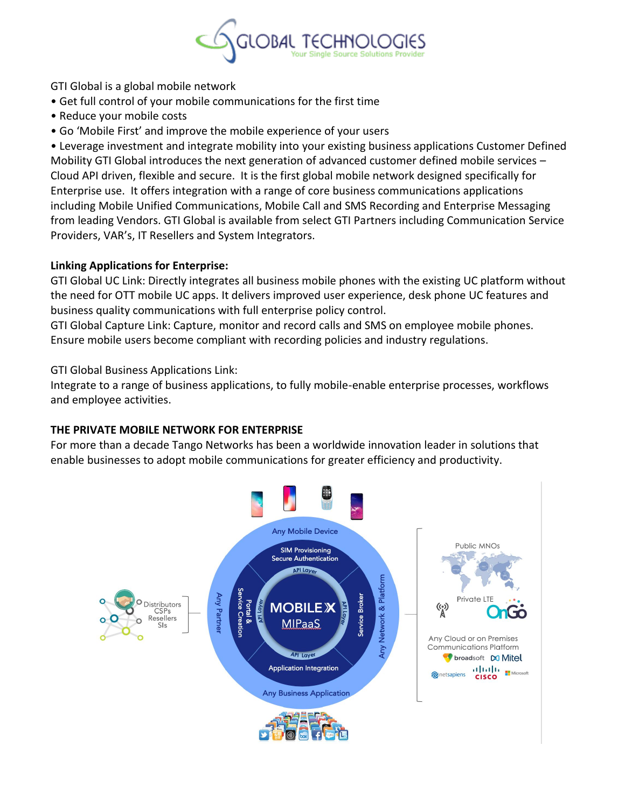

GTI Global is a global mobile network

- Get full control of your mobile communications for the first time
- Reduce your mobile costs
- Go 'Mobile First' and improve the mobile experience of your users

• Leverage investment and integrate mobility into your existing business applications Customer Defined Mobility GTI Global introduces the next generation of advanced customer defined mobile services – Cloud API driven, flexible and secure. It is the first global mobile network designed specifically for Enterprise use. It offers integration with a range of core business communications applications including Mobile Unified Communications, Mobile Call and SMS Recording and Enterprise Messaging from leading Vendors. GTI Global is available from select GTI Partners including Communication Service Providers, VAR's, IT Resellers and System Integrators.

## **Linking Applications for Enterprise:**

GTI Global UC Link: Directly integrates all business mobile phones with the existing UC platform without the need for OTT mobile UC apps. It delivers improved user experience, desk phone UC features and business quality communications with full enterprise policy control.

GTI Global Capture Link: Capture, monitor and record calls and SMS on employee mobile phones. Ensure mobile users become compliant with recording policies and industry regulations.

GTI Global Business Applications Link:

Integrate to a range of business applications, to fully mobile-enable enterprise processes, workflows and employee activities.

# **THE PRIVATE MOBILE NETWORK FOR ENTERPRISE**

For more than a decade Tango Networks has been a worldwide innovation leader in solutions that enable businesses to adopt mobile communications for greater efficiency and productivity.